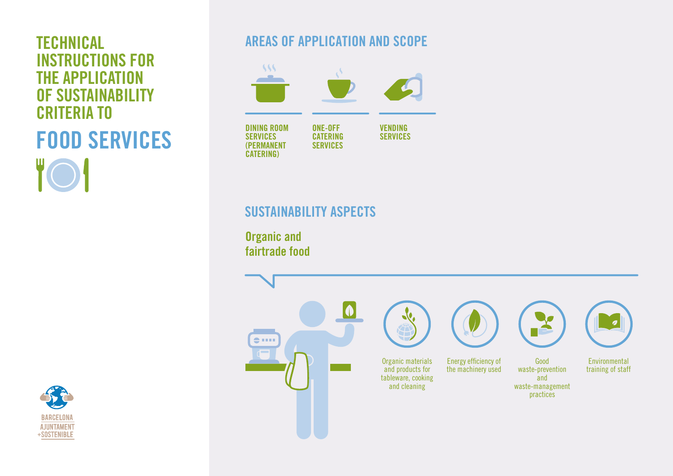# INSTRUCTIONS FOR THE APPLICATION OF SUSTAINABILITY CRITERIA TO FOOD SERVICES



# **TECHNICAL** AREAS OF APPLICATION AND SCOPE



# SUSTAINABILITY ASPECTS

Organic and fairtrade food

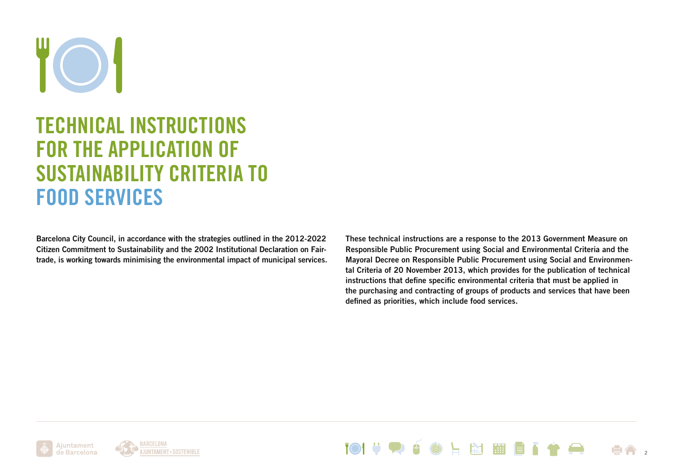# TECHNICAL INSTRUCTIONS FOR THE APPLICATION OF SUSTAINABILITY CRITERIA TO FOOD SERVICES

Barcelona City Council, in accordance with the strategies outlined in the 2012-2022 Citizen Commitment to Sustainability and the 2002 Institutional Declaration on Fairtrade, is working towards minimising the environmental impact of municipal services.

These technical instructions are a response to the 2013 Government Measure on Responsible Public Procurement using Social and Environmental Criteria and the Mayoral Decree on Responsible Public Procurement using Social and Environmental Criteria of 20 November 2013, which provides for the publication of technical instructions that define specific environmental criteria that must be applied in the purchasing and contracting of groups of products and services that have been defined as priorities, which include food services.





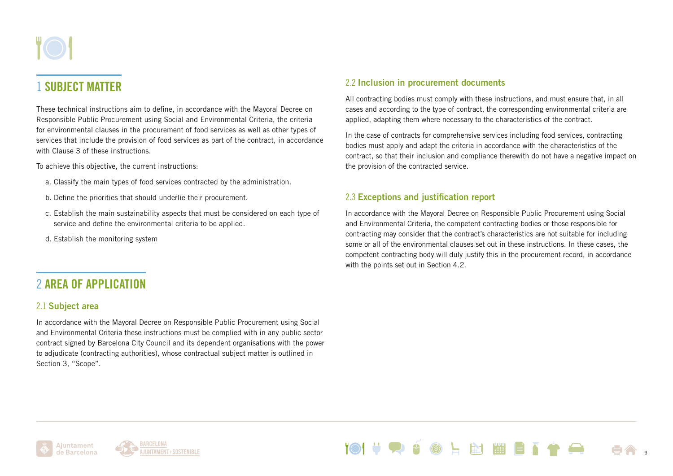# 1 SUBJECT MATTER

These technical instructions aim to define, in accordance with the Mayoral Decree on Responsible Public Procurement using Social and Environmental Criteria, the criteria for environmental clauses in the procurement of food services as well as other types of services that include the provision of food services as part of the contract, in accordance with Clause 3 of these instructions.

To achieve this objective, the current instructions:

- a. Classify the main types of food services contracted by the administration.
- b. Define the priorities that should underlie their procurement.
- c. Establish the main sustainability aspects that must be considered on each type of service and define the environmental criteria to be applied.
- d. Establish the monitoring system

## 2 AREA OF APPLICATION

#### 2.1 Subject area

In accordance with the Mayoral Decree on Responsible Public Procurement using Social and Environmental Criteria these instructions must be complied with in any public sector contract signed by Barcelona City Council and its dependent organisations with the power to adjudicate (contracting authorities), whose contractual subject matter is outlined in Section 3, "Scope".

### 2.2 Inclusion in procurement documents

All contracting bodies must comply with these instructions, and must ensure that, in all cases and according to the type of contract, the corresponding environmental criteria are applied, adapting them where necessary to the characteristics of the contract.

In the case of contracts for comprehensive services including food services, contracting bodies must apply and adapt the criteria in accordance with the characteristics of the contract, so that their inclusion and compliance therewith do not have a negative impact on the provision of the contracted service.

#### 2.3 Exceptions and justification report

In accordance with the Mayoral Decree on Responsible Public Procurement using Social and Environmental Criteria, the competent contracting bodies or those responsible for contracting may consider that the contract's characteristics are not suitable for including some or all of the environmental clauses set out in these instructions. In these cases, the competent contracting body will duly justify this in the procurement record, in accordance with the points set out in Section 4.2.

**EXT REEL** 

3



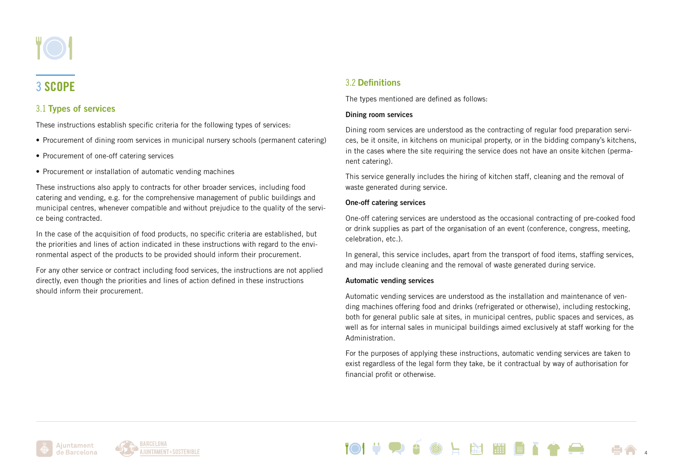

# 3 SCOPE

## 3.1 Types of services

These instructions establish specific criteria for the following types of services:

- Procurement of dining room services in municipal nursery schools (permanent catering)
- Procurement of one-off catering services
- Procurement or installation of automatic vending machines

These instructions also apply to contracts for other broader services, including food catering and vending, e.g. for the comprehensive management of public buildings and municipal centres, whenever compatible and without prejudice to the quality of the service being contracted.

In the case of the acquisition of food products, no specific criteria are established, but the priorities and lines of action indicated in these instructions with regard to the environmental aspect of the products to be provided should inform their procurement.

For any other service or contract including food services, the instructions are not applied directly, even though the priorities and lines of action defined in these instructions should inform their procurement.

## 3.2 Definitions

The types mentioned are defined as follows:

#### Dining room services

Dining room services are understood as the contracting of regular food preparation services, be it onsite, in kitchens on municipal property, or in the bidding company's kitchens, in the cases where the site requiring the service does not have an onsite kitchen (permanent catering).

This service generally includes the hiring of kitchen staff, cleaning and the removal of waste generated during service.

#### One-off catering services

One-off catering services are understood as the occasional contracting of pre-cooked food or drink supplies as part of the organisation of an event (conference, congress, meeting, celebration, etc.).

In general, this service includes, apart from the transport of food items, staffing services, and may include cleaning and the removal of waste generated during service.

#### Automatic vending services

Automatic vending services are understood as the installation and maintenance of vending machines offering food and drinks (refrigerated or otherwise), including restocking, both for general public sale at sites, in municipal centres, public spaces and services, as well as for internal sales in municipal buildings aimed exclusively at staff working for the Administration.

For the purposes of applying these instructions, automatic vending services are taken to exist regardless of the legal form they take, be it contractual by way of authorisation for financial profit or otherwise.





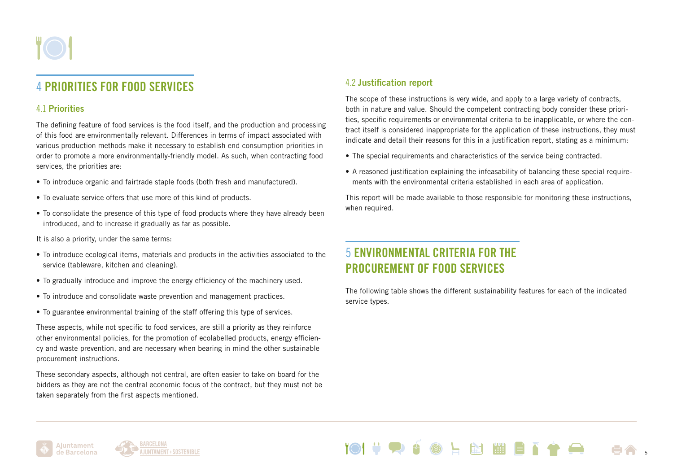## 4 PRIORITIES FOR FOOD SERVICES

## 4.1 Priorities

The defining feature of food services is the food itself, and the production and processing of this food are environmentally relevant. Differences in terms of impact associated with various production methods make it necessary to establish end consumption priorities in order to promote a more environmentally-friendly model. As such, when contracting food services, the priorities are:

- To introduce organic and fairtrade staple foods (both fresh and manufactured).
- To evaluate service offers that use more of this kind of products.
- To consolidate the presence of this type of food products where they have already been introduced, and to increase it gradually as far as possible.

It is also a priority, under the same terms:

- To introduce ecological items, materials and products in the activities associated to the service (tableware, kitchen and cleaning).
- To gradually introduce and improve the energy efficiency of the machinery used.
- To introduce and consolidate waste prevention and management practices.
- To guarantee environmental training of the staff offering this type of services.

These aspects, while not specific to food services, are still a priority as they reinforce other environmental policies, for the promotion of ecolabelled products, energy efficiency and waste prevention, and are necessary when bearing in mind the other sustainable procurement instructions.

These secondary aspects, although not central, are often easier to take on board for the bidders as they are not the central economic focus of the contract, but they must not be taken separately from the first aspects mentioned.

## 4.2 Justification report

The scope of these instructions is very wide, and apply to a large variety of contracts, both in nature and value. Should the competent contracting body consider these priorities, specific requirements or environmental criteria to be inapplicable, or where the contract itself is considered inappropriate for the application of these instructions, they must indicate and detail their reasons for this in a justification report, stating as a minimum:

- The special requirements and characteristics of the service being contracted.
- A reasoned justification explaining the infeasability of balancing these special requirements with the environmental criteria established in each area of application.

This report will be made available to those responsible for monitoring these instructions, when required.

## 5 ENVIRONMENTAL CRITERIA FOR THE PROCUREMENT OF FOOD SERVICES

The following table shows the different sustainability features for each of the indicated service types.





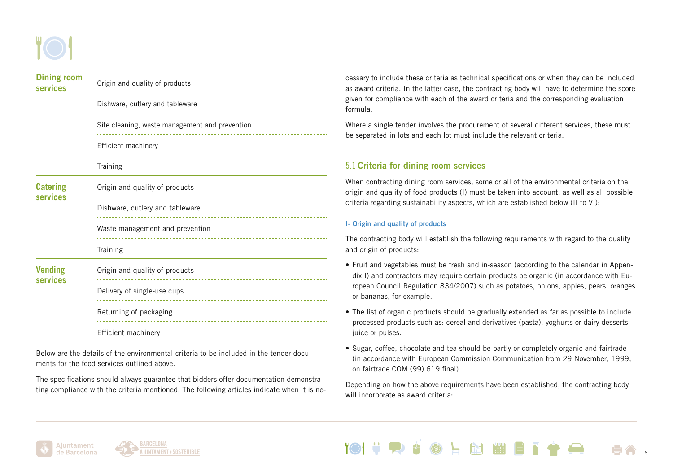| <b>Dining room</b><br><b>services</b> | Origin and quality of products                                       |
|---------------------------------------|----------------------------------------------------------------------|
|                                       | Dishware, cutlery and tableware                                      |
|                                       | Site cleaning, waste management and prevention                       |
|                                       | Efficient machinery                                                  |
|                                       | Training                                                             |
| <b>Catering</b><br><b>services</b>    | Origin and quality of products                                       |
|                                       | Dishware, cutlery and tableware<br>--------------------------------  |
|                                       | Waste management and prevention<br>--------------------------------- |
|                                       | Training                                                             |
| <b>Vending</b><br>services            | Origin and quality of products                                       |
|                                       | Delivery of single-use cups                                          |
|                                       | Returning of packaging                                               |
|                                       | Efficient machinery                                                  |

Below are the details of the environmental criteria to be included in the tender documents for the food services outlined above.

The specifications should always guarantee that bidders offer documentation demonstrating compliance with the criteria mentioned. The following articles indicate when it is necessary to include these criteria as technical specifications or when they can be included as award criteria. In the latter case, the contracting body will have to determine the score given for compliance with each of the award criteria and the corresponding evaluation formula.

Where a single tender involves the procurement of several different services, these must be separated in lots and each lot must include the relevant criteria.

#### 5.1 Criteria for dining room services

When contracting dining room services, some or all of the environmental criteria on the origin and quality of food products (I) must be taken into account, as well as all possible criteria regarding sustainability aspects, which are established below (II to VI):

#### I- Origin and quality of products

The contracting body will establish the following requirements with regard to the quality and origin of products:

- Fruit and vegetables must be fresh and in-season (according to the calendar in Appendix I) and contractors may require certain products be organic (in accordance with European Council Regulation 834/2007) such as potatoes, onions, apples, pears, oranges or bananas, for example.
- The list of organic products should be gradually extended as far as possible to include processed products such as: cereal and derivatives (pasta), yoghurts or dairy desserts, juice or pulses.
- Sugar, coffee, chocolate and tea should be partly or completely organic and fairtrade (in accordance with European Commission Communication from 29 November, 1999, on fairtrade COM (99) 619 final).

Depending on how the above requirements have been established, the contracting body will incorporate as award criteria:

**上全 幽 幽 自 了令** 

6



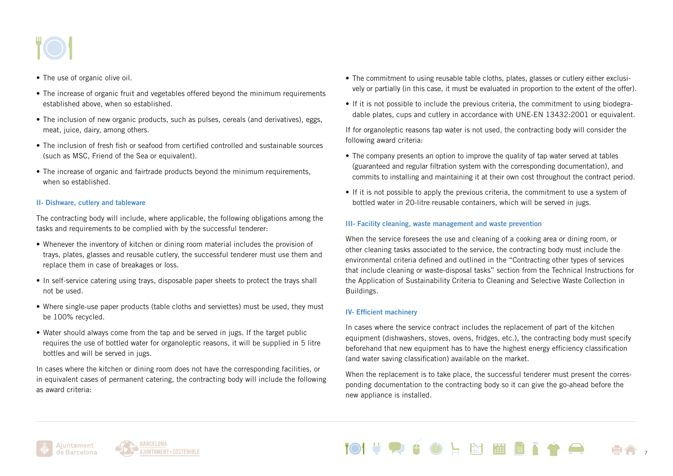- The use of organic olive oil.
- The increase of organic fruit and vegetables offered beyond the minimum requirements established above, when so established.
- The inclusion of new organic products, such as pulses, cereals (and derivatives), eggs, meat, juice, dairy, among others.
- The inclusion of fresh fish or seafood from certified controlled and sustainable sources (such as MSC, Friend of the Sea or equivalent).
- The increase of organic and fairtrade products beyond the minimum requirements, when so established.

#### II- Dishware, cutlery and tableware

The contracting body will include, where applicable, the following obligations among the tasks and requirements to be complied with by the successful tenderer:

- Whenever the inventory of kitchen or dining room material includes the provision of trays, plates, glasses and reusable cutlery, the successful tenderer must use them and replace them in case of breakages or loss.
- In self-service catering using trays, disposable paper sheets to protect the trays shall not be used.
- Where single-use paper products (table cloths and serviettes) must be used, they must be 100% recycled.
- Water should always come from the tap and be served in jugs. If the target public requires the use of bottled water for organoleptic reasons, it will be supplied in 5 litre bottles and will be served in jugs.

In cases where the kitchen or dining room does not have the corresponding facilities, or in equivalent cases of permanent catering, the contracting body will include the following as award criteria:

- The commitment to using reusable table cloths, plates, glasses or cutlery either exclusively or partially (in this case, it must be evaluated in proportion to the extent of the offer).
- If it is not possible to include the previous criteria, the commitment to using biodegradable plates, cups and cutlery in accordance with UNE-EN 13432:2001 or equivalent.

If for organoleptic reasons tap water is not used, the contracting body will consider the following award criteria:

- The company presents an option to improve the quality of tap water served at tables (guaranteed and regular filtration system with the corresponding documentation), and commits to installing and maintaining it at their own cost throughout the contract period.
- If it is not possible to apply the previous criteria, the commitment to use a system of bottled water in 20-litre reusable containers, which will be served in jugs.

#### III- Facility cleaning, waste management and waste prevention

When the service foresees the use and cleaning of a cooking area or dining room, or other cleaning tasks associated to the service, the contracting body must include the environmental criteria defined and outlined in the "Contracting other types of services that include cleaning or waste-disposal tasks" section from the Technical Instructions for the Application of Sustainability Criteria to Cleaning and Selective Waste Collection in Buildings.

#### IV- Efficient machinery

In cases where the service contract includes the replacement of part of the kitchen equipment (dishwashers, stoves, ovens, fridges, etc.), the contracting body must specify beforehand that new equipment has to have the highest energy efficiency classification (and water saving classification) available on the market.

When the replacement is to take place, the successful tenderer must present the corresponding documentation to the contracting body so it can give the go-ahead before the new appliance is installed.





**上窗 開日了令** 7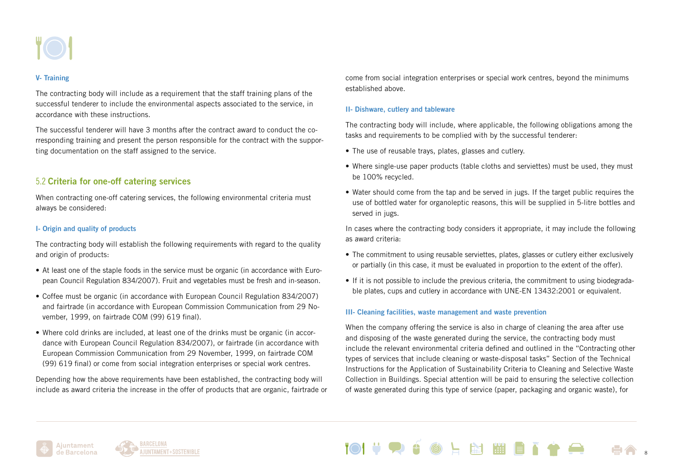

#### V- Training

The contracting body will include as a requirement that the staff training plans of the successful tenderer to include the environmental aspects associated to the service, in accordance with these instructions.

The successful tenderer will have 3 months after the contract award to conduct the corresponding training and present the person responsible for the contract with the supporting documentation on the staff assigned to the service.

#### 5.2 Criteria for one-off catering services

When contracting one-off catering services, the following environmental criteria must always be considered:

#### I- Origin and quality of products

The contracting body will establish the following requirements with regard to the quality and origin of products:

- At least one of the staple foods in the service must be organic (in accordance with European Council Regulation 834/2007). Fruit and vegetables must be fresh and in-season.
- Coffee must be organic (in accordance with European Council Regulation 834/2007) and fairtrade (in accordance with European Commission Communication from 29 November, 1999, on fairtrade COM (99) 619 final).
- Where cold drinks are included, at least one of the drinks must be organic (in accordance with European Council Regulation 834/2007), or fairtrade (in accordance with European Commission Communication from 29 November, 1999, on fairtrade COM (99) 619 final) or come from social integration enterprises or special work centres.

Depending how the above requirements have been established, the contracting body will include as award criteria the increase in the offer of products that are organic, fairtrade or come from social integration enterprises or special work centres, beyond the minimums established above.

#### II- Dishware, cutlery and tableware

The contracting body will include, where applicable, the following obligations among the tasks and requirements to be complied with by the successful tenderer:

- The use of reusable trays, plates, glasses and cutlery.
- Where single-use paper products (table cloths and serviettes) must be used, they must be 100% recycled.
- Water should come from the tap and be served in jugs. If the target public requires the use of bottled water for organoleptic reasons, this will be supplied in 5-litre bottles and served in jugs.

In cases where the contracting body considers it appropriate, it may include the following as award criteria:

- The commitment to using reusable serviettes, plates, glasses or cutlery either exclusively or partially (in this case, it must be evaluated in proportion to the extent of the offer).
- If it is not possible to include the previous criteria, the commitment to using biodegradable plates, cups and cutlery in accordance with UNE-EN 13432:2001 or equivalent.

#### III- Cleaning facilities, waste management and waste prevention

When the company offering the service is also in charge of cleaning the area after use and disposing of the waste generated during the service, the contracting body must include the relevant environmental criteria defined and outlined in the "Contracting other types of services that include cleaning or waste-disposal tasks" Section of the Technical Instructions for the Application of Sustainability Criteria to Cleaning and Selective Waste Collection in Buildings. Special attention will be paid to ensuring the selective collection of waste generated during this type of service (paper, packaging and organic waste), for



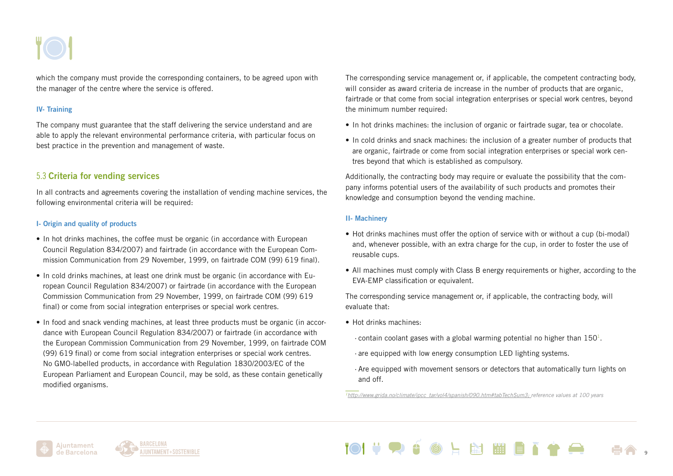which the company must provide the corresponding containers, to be agreed upon with the manager of the centre where the service is offered.

#### IV- Training

The company must guarantee that the staff delivering the service understand and are able to apply the relevant environmental performance criteria, with particular focus on best practice in the prevention and management of waste.

#### 5.3 Criteria for vending services

In all contracts and agreements covering the installation of vending machine services, the following environmental criteria will be required:

#### I- Origin and quality of products

- In hot drinks machines, the coffee must be organic (in accordance with European Council Regulation 834/2007) and fairtrade (in accordance with the European Commission Communication from 29 November, 1999, on fairtrade COM (99) 619 final).
- In cold drinks machines, at least one drink must be organic (in accordance with European Council Regulation 834/2007) or fairtrade (in accordance with the European Commission Communication from 29 November, 1999, on fairtrade COM (99) 619 final) or come from social integration enterprises or special work centres.
- In food and snack vending machines, at least three products must be organic (in accordance with European Council Regulation 834/2007) or fairtrade (in accordance with the European Commission Communication from 29 November, 1999, on fairtrade COM (99) 619 final) or come from social integration enterprises or special work centres. No GMO-labelled products, in accordance with Regulation 1830/2003/EC of the European Parliament and European Council, may be sold, as these contain genetically modified organisms.

The corresponding service management or, if applicable, the competent contracting body, will consider as award criteria de increase in the number of products that are organic, fairtrade or that come from social integration enterprises or special work centres, beyond the minimum number required:

- In hot drinks machines: the inclusion of organic or fairtrade sugar, tea or chocolate.
- In cold drinks and snack machines: the inclusion of a greater number of products that are organic, fairtrade or come from social integration enterprises or special work centres beyond that which is established as compulsory.

Additionally, the contracting body may require or evaluate the possibility that the company informs potential users of the availability of such products and promotes their knowledge and consumption beyond the vending machine.

#### II- Machinery

- Hot drinks machines must offer the option of service with or without a cup (bi-modal) and, whenever possible, with an extra charge for the cup, in order to foster the use of reusable cups.
- All machines must comply with Class B energy requirements or higher, according to the EVA-EMP classification or equivalent.

The corresponding service management or, if applicable, the contracting body, will evaluate that:

- Hot drinks machines:
	- $\cdot$  contain coolant gases with a global warming potential no higher than 150<sup>1</sup>.
	- · are equipped with low energy consumption LED lighting systems.
	- · Are equipped with movement sensors or detectors that automatically turn lights on and off.

*1[http://www.grida.no/climate/ipcc\\_tar/vol4/spanish/090.htm#tabTechSum3;](http://www.grida.no/climate/ipcc_tar/vol4/spanish/090.htm#tabTechSum3; valors de referència a 100 an) reference values at 100 years*





上窗開胃了 9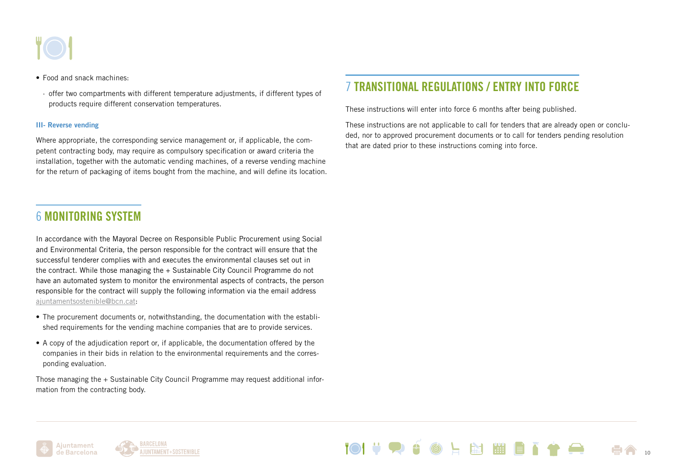- Food and snack machines:
	- · offer two compartments with different temperature adjustments, if different types of products require different conservation temperatures.

#### III- Reverse vending

Where appropriate, the corresponding service management or, if applicable, the competent contracting body, may require as compulsory specification or award criteria the installation, together with the automatic vending machines, of a reverse vending machine for the return of packaging of items bought from the machine, and will define its location.

## 6 MONITORING SYSTEM

In accordance with the Mayoral Decree on Responsible Public Procurement using Social and Environmental Criteria, the person responsible for the contract will ensure that the successful tenderer complies with and executes the environmental clauses set out in the contract. While those managing the + Sustainable City Council Programme do not have an automated system to monitor the environmental aspects of contracts, the person responsible for the contract will supply the following information via the email address [ajuntamentsostenible@bcn.cat](mailto:ajuntamentsostenible%40bcn.cat?subject=):

- The procurement documents or, notwithstanding, the documentation with the established requirements for the vending machine companies that are to provide services.
- A copy of the adjudication report or, if applicable, the documentation offered by the companies in their bids in relation to the environmental requirements and the corresponding evaluation.

Those managing the + Sustainable City Council Programme may request additional information from the contracting body.

# 7 TRANSITIONAL REGULATIONS / ENTRY INTO FORCE

These instructions will enter into force 6 months after being published.

These instructions are not applicable to call for tenders that are already open or concluded, nor to approved procurement documents or to call for tenders pending resolution that are dated prior to these instructions coming into force.